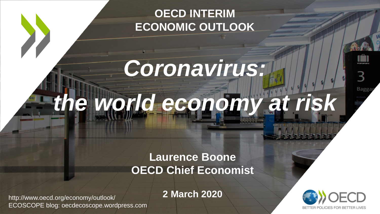## **OECD INTERIM ECONOMIC OUTLOOK**

# *Coronavirus: the world economy at risk*

### **Laurence Boone OECD Chief Economist**

http://www.oecd.org/economy/outlook/ ECOSCOPE blog: oecdecoscope.wordpress.com

**2 March 2020**



Bagga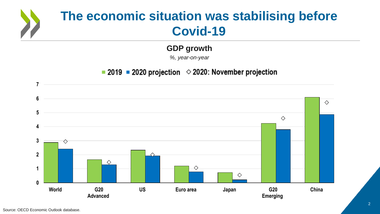# **The economic situation was stabilising before Covid-19**

#### **GDP growth**

*%, year-on-year*

#### ■ 2019 ■ 2020 projection  $\Diamond$  2020: November projection

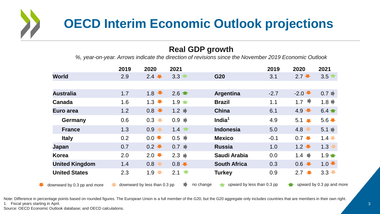

#### **Real GDP growth**

*%, year-on-year. Arrows indicate the direction of revisions since the November 2019 Economic Outlook*

|                             | 2019                         | 2020                            | 2021                |                                         | 2019   | 2020                      | 2021                        |
|-----------------------------|------------------------------|---------------------------------|---------------------|-----------------------------------------|--------|---------------------------|-----------------------------|
| <b>World</b>                | 2.9                          | $2.4 -$                         | 3.3                 | G20                                     | 3.1    | $2.7 -$                   | 3.5                         |
|                             |                              |                                 |                     |                                         |        |                           |                             |
| <b>Australia</b>            | 1.7                          | 1.8                             |                     | Argentina                               | $-2.7$ | $-2.0 -$                  | $0.7 \rightarrow$           |
| Canada                      | 1.6                          | $1.3 \bullet$                   | $1.9 -$             | <b>Brazil</b>                           | 1.1    | 1.7 $\blacktriangleright$ | $1.8$ $\blacktriangleright$ |
| Euro area                   | 1.2                          | 0.8                             | $1.2 \rightarrow$   | <b>China</b>                            | 6.1    | 4.9                       | $6.4 \triangleq$            |
| Germany                     | 0.6                          | $0.3 -$                         | $0.9 \rightarrow$   | India $1$                               | 4.9    | $5.1 -$                   | $5.6 -$                     |
| <b>France</b>               | 1.3                          | 0.9<br>$\blacktriangledown$     |                     | <b>Indonesia</b>                        | 5.0    | 4.8                       | $5.1 \blacktriangleright$   |
| <b>Italy</b>                | 0.2                          | $0.0 \rightarrow$               | $0.5$ $\rightarrow$ | <b>Mexico</b>                           | $-0.1$ | $0.7 -$                   | $1.4 -$                     |
| Japan                       | 0.7                          | $0.2$ $\bullet$                 | $0.7 \rightarrow$   | <b>Russia</b>                           | 1.0    | $1.2 \rightarrow$         | 1.3                         |
| Korea                       | 2.0                          | $2.0 \blacktriangleright$       | $2.3 \rightarrow$   | Saudi Arabia                            | 0.0    | 1.4 $\Rightarrow$         | $1.9 \text{m}$              |
| <b>United Kingdom</b>       | 1.4                          | 0.8<br>$\overline{\phantom{a}}$ | $0.8 -$             | <b>South Africa</b>                     | 0.3    | 0.6                       | $1.0 -$                     |
| <b>United States</b>        | 2.3                          | $1.9 -$                         | $2.1 \bullet$       | <b>Turkey</b>                           | 0.9    | $2.7 \bullet$             | $3.3 -$                     |
| downward by 0.3 pp and more | downward by less than 0.3 pp |                                 |                     | no change<br>upward by less than 0.3 pp |        | upward by 0.3 pp and more |                             |

Note: Difference in percentage points based on rounded figures. The European Union is a full member of the G20, but the G20 aggregate only includes countries that are members in their own right. 1. Fiscal years starting in April.

Source: OECD Economic Outlook database; and OECD calculations.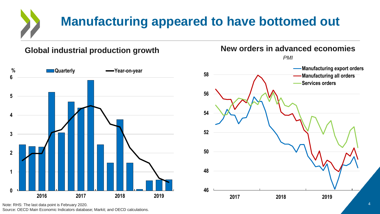# **Manufacturing appeared to have bottomed out**

**Global industrial production growth New orders in advanced economies**





Note: RHS: The last data point is February 2020.

Source: OECD Main Economic Indicators database; Markit; and OECD calculations.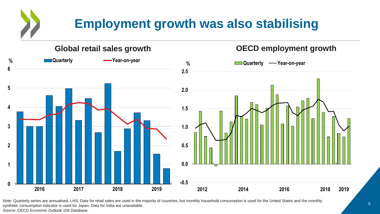## **Employment growth was also stabilising**



Note: Quarterly series are annualised. LHS: Data for retail sales are used in the majority of countries, but monthly household consumption is used for the United States and the monthly synthetic consumption indicator is used for Japan. Data for India are unavailable. Source: OECD Economic Outlook 106 Database.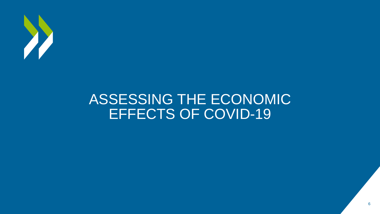

## ASSESSING THE ECONOMIC EFFECTS OF COVID-19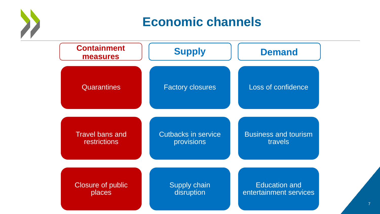

## **Economic channels**



7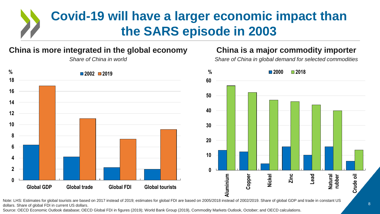## **Covid-19 will have a larger economic impact than the SARS episode in 2003**

#### **China is more integrated in the global economy**



#### *Share of China in world*

#### **China is a major commodity importer**

*Share of China in global demand for selected commodities*



Note: LHS: Estimates for global tourists are based on 2017 instead of 2019; estimates for global FDI are based on 2005/2018 instead of 2002/2019. Share of global GDP and trade in constant US dollars. Share of global FDI in current US dollars.

Source: OECD Economic Outlook database; OECD Global FDI in figures (2019); World Bank Group (2019), Commodity Markets Outlook, October; and OECD calculations.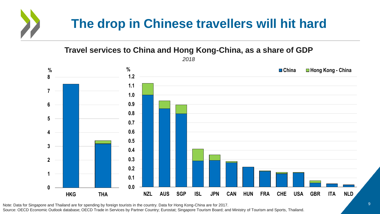# **The drop in Chinese travellers will hit hard**

**Travel services to China and Hong Kong-China, as a share of GDP**



Note: Data for Singapore and Thailand are for spending by foreign tourists in the country. Data for Hong Kong-China are for 2017. Source: OECD Economic Outlook database; OECD Trade in Services by Partner Country; Eurostat; Singapore Tourism Board; and Ministry of Tourism and Sports, Thailand.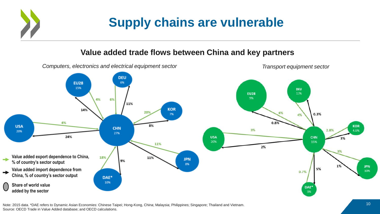## **Supply chains are vulnerable**

#### **Value added trade flows between China and key partners**



Note: 2015 data. \*DAE refers to Dynamic Asian Economies: Chinese Taipei; Hong-Kong, China; Malaysia; Philippines; Singapore; Thailand and Vietnam. Source: OECD Trade in Value Added database; and OECD calculations.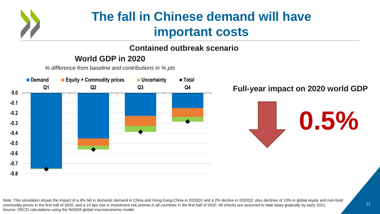

## **The fall in Chinese demand will have important costs**

#### **Contained outbreak scenario**

#### **World GDP in 2020**

*% difference from baseline and contributions in % pts*



Note: This simulation shows the impact of a 4% fall in domestic demand in China and Hong Kong-China in 2020Q1 and a 2% decline in 2020Q2, plus declines of 10% in global equity and non-food commodity prices in the first half of 2020, and a 10 bps rise in investment risk premia in all countries in the first half of 2020. All shocks are assumed to fade away gradually by early 2021. Source: OECD calculations using the NiGEM global macroeconomic model.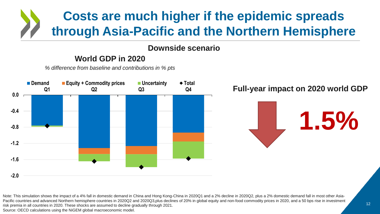## **Costs are much higher if the epidemic spreads through Asia-Pacific and the Northern Hemisphere**

#### **Downside scenario**

#### **World GDP in 2020**

*% difference from baseline and contributions in % pts*



Note: This simulation shows the impact of a 4% fall in domestic demand in China and Hong Kong-China in 2020Q1 and a 2% decline in 2020Q2, plus a 2% domestic demand fall in most other Asia-Pacific countries and advanced Northern hemisphere countries in 2020Q2 and 2020Q3,plus declines of 20% in global equity and non-food commodity prices in 2020, and a 50 bps rise in investment risk premia in all countries in 2020. These shocks are assumed to decline gradually through 2021. Source: OECD calculations using the NiGEM global macroeconomic model.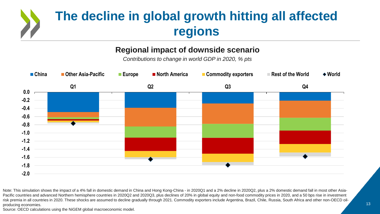# **The decline in global growth hitting all affected regions**

#### **Regional impact of downside scenario**

*Contributions to change in world GDP in 2020, % pts*



Note: This simulation shows the impact of a 4% fall in domestic demand in China and Hong Kong-China - in 2020Q1 and a 2% decline in 2020Q2, plus a 2% domestic demand fall in most other Asia-Pacific countries and advanced Northern hemisphere countries in 2020Q2 and 2020Q3, plus declines of 20% in global equity and non-food commodity prices in 2020, and a 50 bps rise in investment risk premia in all countries in 2020. These shocks are assumed to decline gradually through 2021. Commodity exporters include Argentina, Brazil, Chile, Russia, South Africa and other non-OECD oilproducing economies.

Source: OECD calculations using the NiGEM global macroeconomic model.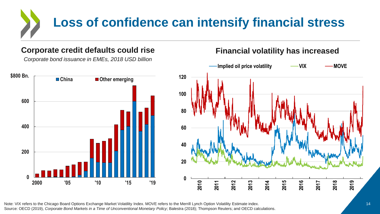# **Loss of confidence can intensify financial stress**

#### **Corporate credit defaults could rise**

*Corporate bond issuance in EMEs, 2018 USD billion*



#### **Financial volatility has increased**



Note: VIX refers to the Chicago Board Options Exchange Market Volatility Index. MOVE refers to the Merrill Lynch Option Volatility Estimate index. Source: OECD (2019), *Corporate Bond Markets in a Time of Unconventional Monetary Policy*; Balestra (2018); Thompson Reuters; and OECD calculations.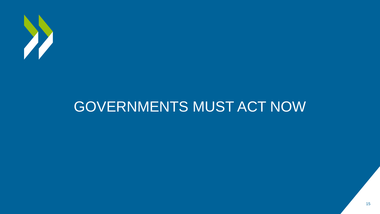

# GOVERNMENTS MUST ACT NOW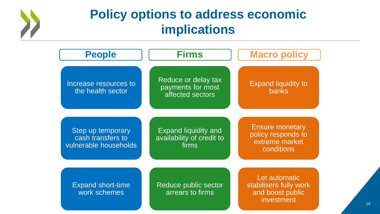

## **Policy options to address economic implications**

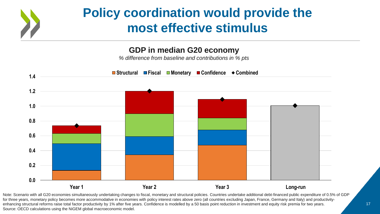## **Policy coordination would provide the most effective stimulus**

#### **GDP in median G20 economy**

*% difference from baseline and contributions in % pts*



Note: Scenario with all G20 economies simultaneously undertaking changes to fiscal, monetary and structural policies. Countries undertake additional debt-financed public expenditure of 0.5% of GDP for three years, monetary policy becomes more accommodative in economies with policy interest rates above zero (all countries excluding Japan, France, Germany and Italy) and productivityenhancing structural reforms raise total factor productivity by 1% after five years. Confidence is modelled by a 50 basis point reduction in investment and equity risk premia for two years. Source: OECD calculations using the NiGEM global macroeconomic model.